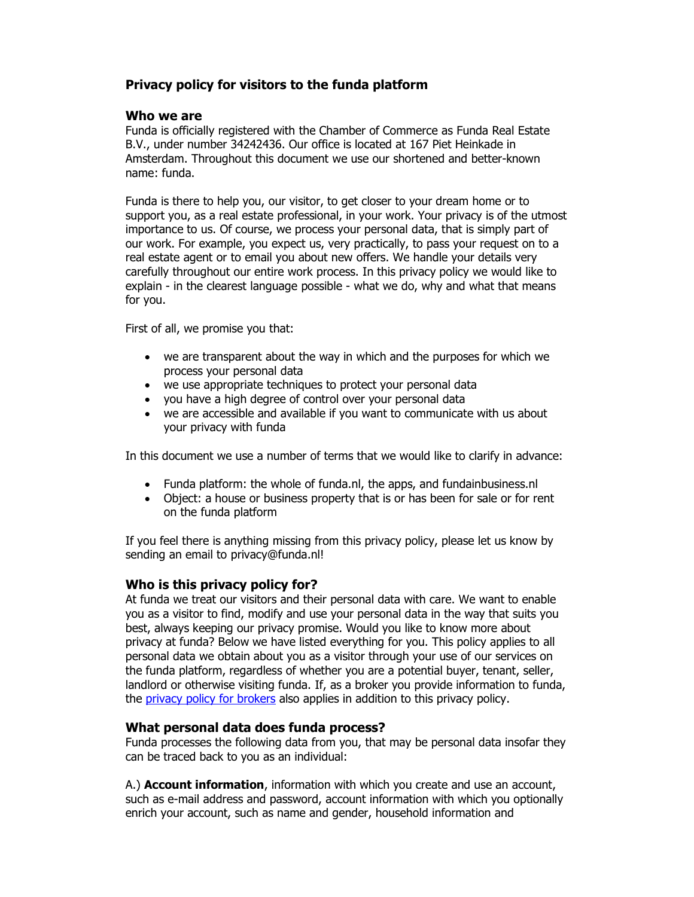# Privacy policy for visitors to the funda platform

### Who we are

Funda is officially registered with the Chamber of Commerce as Funda Real Estate B.V., under number 34242436. Our office is located at 167 Piet Heinkade in Amsterdam. Throughout this document we use our shortened and better-known name: funda.

Funda is there to help you, our visitor, to get closer to your dream home or to support you, as a real estate professional, in your work. Your privacy is of the utmost importance to us. Of course, we process your personal data, that is simply part of our work. For example, you expect us, very practically, to pass your request on to a real estate agent or to email you about new offers. We handle your details very carefully throughout our entire work process. In this privacy policy we would like to explain - in the clearest language possible - what we do, why and what that means for you.

First of all, we promise you that:

- we are transparent about the way in which and the purposes for which we process your personal data
- we use appropriate techniques to protect your personal data
- you have a high degree of control over your personal data
- we are accessible and available if you want to communicate with us about your privacy with funda

In this document we use a number of terms that we would like to clarify in advance:

- Funda platform: the whole of funda.nl, the apps, and fundainbusiness.nl
- Object: a house or business property that is or has been for sale or for rent on the funda platform

If you feel there is anything missing from this privacy policy, please let us know by sending an email to privacy@funda.nl!

## Who is this privacy policy for?

At funda we treat our visitors and their personal data with care. We want to enable you as a visitor to find, modify and use your personal data in the way that suits you best, always keeping our privacy promise. Would you like to know more about privacy at funda? Below we have listed everything for you. This policy applies to all personal data we obtain about you as a visitor through your use of our services on the funda platform, regardless of whether you are a potential buyer, tenant, seller, landlord or otherwise visiting funda. If, as a broker you provide information to funda, the privacy policy for brokers also applies in addition to this privacy policy.

## What personal data does funda process?

Funda processes the following data from you, that may be personal data insofar they can be traced back to you as an individual:

A.) **Account information**, information with which you create and use an account, such as e-mail address and password, account information with which you optionally enrich your account, such as name and gender, household information and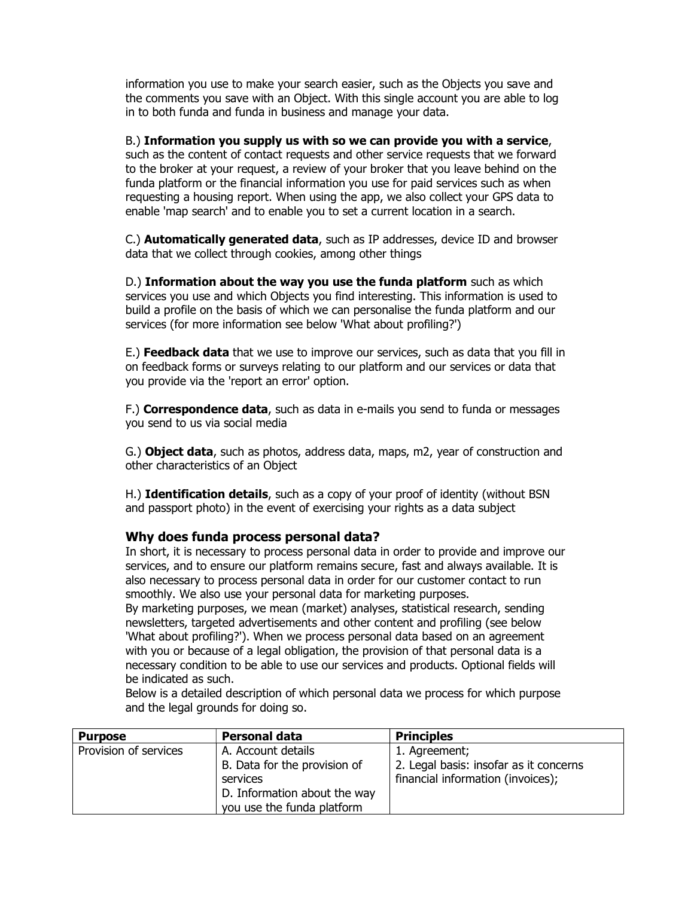information you use to make your search easier, such as the Objects you save and the comments you save with an Object. With this single account you are able to log in to both funda and funda in business and manage your data.

B.) Information you supply us with so we can provide you with a service, such as the content of contact requests and other service requests that we forward to the broker at your request, a review of your broker that you leave behind on the funda platform or the financial information you use for paid services such as when requesting a housing report. When using the app, we also collect your GPS data to enable 'map search' and to enable you to set a current location in a search.

C.) **Automatically generated data**, such as IP addresses, device ID and browser data that we collect through cookies, among other things

D.) Information about the way you use the funda platform such as which services you use and which Objects you find interesting. This information is used to build a profile on the basis of which we can personalise the funda platform and our services (for more information see below 'What about profiling?')

E.) Feedback data that we use to improve our services, such as data that you fill in on feedback forms or surveys relating to our platform and our services or data that you provide via the 'report an error' option.

F.) **Correspondence data**, such as data in e-mails you send to funda or messages you send to us via social media

G.) **Object data**, such as photos, address data, maps, m2, year of construction and other characteristics of an Object

H.) **Identification details**, such as a copy of your proof of identity (without BSN and passport photo) in the event of exercising your rights as a data subject

### Why does funda process personal data?

In short, it is necessary to process personal data in order to provide and improve our services, and to ensure our platform remains secure, fast and always available. It is also necessary to process personal data in order for our customer contact to run smoothly. We also use your personal data for marketing purposes.

By marketing purposes, we mean (market) analyses, statistical research, sending newsletters, targeted advertisements and other content and profiling (see below 'What about profiling?'). When we process personal data based on an agreement with you or because of a legal obligation, the provision of that personal data is a necessary condition to be able to use our services and products. Optional fields will be indicated as such.

Below is a detailed description of which personal data we process for which purpose and the legal grounds for doing so.

| <b>Purpose</b>        | Personal data                | <b>Principles</b>                      |
|-----------------------|------------------------------|----------------------------------------|
| Provision of services | A. Account details           | 1. Agreement;                          |
|                       | B. Data for the provision of | 2. Legal basis: insofar as it concerns |
|                       | services                     | financial information (invoices);      |
|                       | D. Information about the way |                                        |
|                       | you use the funda platform   |                                        |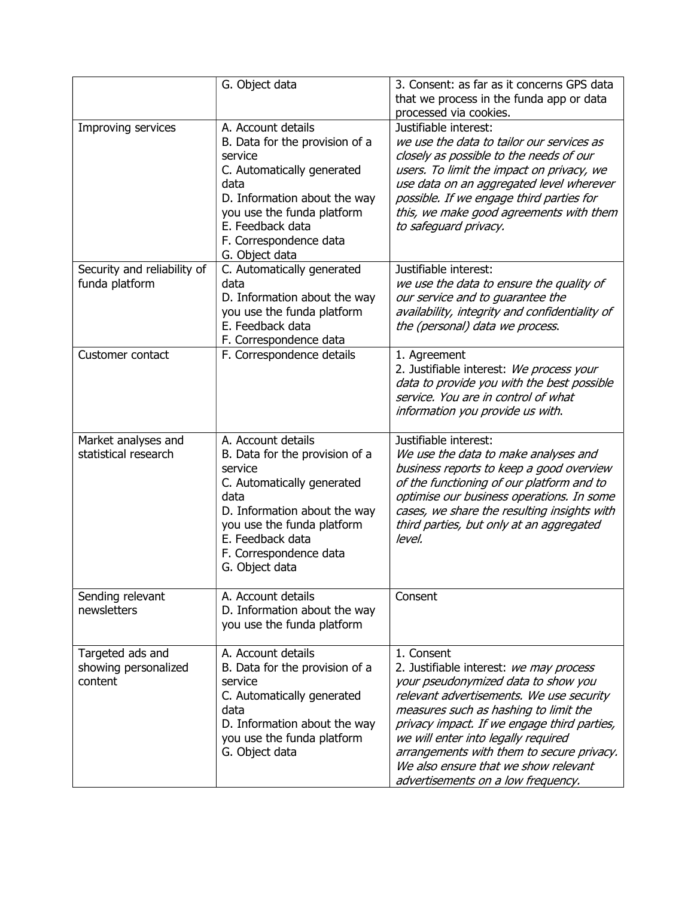|                                                     | G. Object data                                                                                                                                                                                                                      | 3. Consent: as far as it concerns GPS data<br>that we process in the funda app or data<br>processed via cookies.                                                                                                                                                                                                                                                                                   |
|-----------------------------------------------------|-------------------------------------------------------------------------------------------------------------------------------------------------------------------------------------------------------------------------------------|----------------------------------------------------------------------------------------------------------------------------------------------------------------------------------------------------------------------------------------------------------------------------------------------------------------------------------------------------------------------------------------------------|
| Improving services                                  | A. Account details<br>B. Data for the provision of a<br>service<br>C. Automatically generated<br>data<br>D. Information about the way<br>you use the funda platform<br>E. Feedback data<br>F. Correspondence data<br>G. Object data | Justifiable interest:<br>we use the data to tailor our services as<br>closely as possible to the needs of our<br>users. To limit the impact on privacy, we<br>use data on an aggregated level wherever<br>possible. If we engage third parties for<br>this, we make good agreements with them<br>to safequard privacy.                                                                             |
| Security and reliability of<br>funda platform       | C. Automatically generated<br>data<br>D. Information about the way<br>you use the funda platform<br>E. Feedback data<br>F. Correspondence data                                                                                      | Justifiable interest:<br>we use the data to ensure the quality of<br>our service and to guarantee the<br>availability, integrity and confidentiality of<br>the (personal) data we process.                                                                                                                                                                                                         |
| Customer contact                                    | F. Correspondence details                                                                                                                                                                                                           | 1. Agreement<br>2. Justifiable interest: We process your<br>data to provide you with the best possible<br>service. You are in control of what<br>information you provide us with.                                                                                                                                                                                                                  |
| Market analyses and<br>statistical research         | A. Account details<br>B. Data for the provision of a<br>service<br>C. Automatically generated<br>data<br>D. Information about the way<br>you use the funda platform<br>E. Feedback data<br>F. Correspondence data<br>G. Object data | Justifiable interest:<br>We use the data to make analyses and<br>business reports to keep a good overview<br>of the functioning of our platform and to<br>optimise our business operations. In some<br>cases, we share the resulting insights with<br>third parties, but only at an aggregated<br>level.                                                                                           |
| Sending relevant<br>newsletters                     | A. Account details<br>D. Information about the way<br>you use the funda platform                                                                                                                                                    | Consent                                                                                                                                                                                                                                                                                                                                                                                            |
| Targeted ads and<br>showing personalized<br>content | A. Account details<br>B. Data for the provision of a<br>service<br>C. Automatically generated<br>data<br>D. Information about the way<br>you use the funda platform<br>G. Object data                                               | 1. Consent<br>2. Justifiable interest: we may process<br>your pseudonymized data to show you<br>relevant advertisements. We use security<br>measures such as hashing to limit the<br>privacy impact. If we engage third parties,<br>we will enter into legally required<br>arrangements with them to secure privacy.<br>We also ensure that we show relevant<br>advertisements on a low frequency. |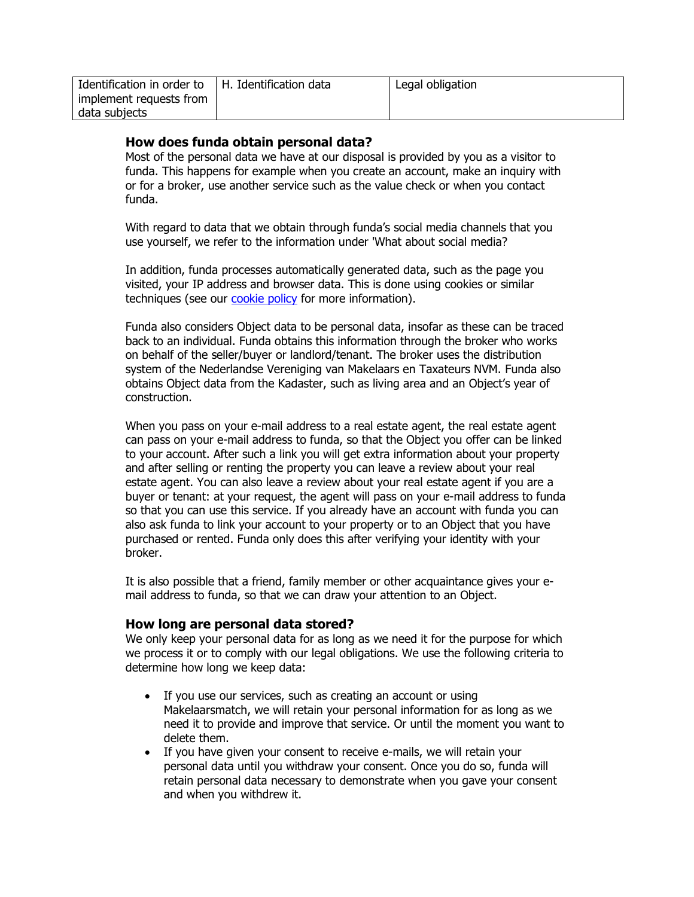| Identification in order to | H. Identification data | Legal obligation |
|----------------------------|------------------------|------------------|
| implement requests from    |                        |                  |
| data subjects              |                        |                  |

## How does funda obtain personal data?

Most of the personal data we have at our disposal is provided by you as a visitor to funda. This happens for example when you create an account, make an inquiry with or for a broker, use another service such as the value check or when you contact funda.

With regard to data that we obtain through funda's social media channels that you use yourself, we refer to the information under 'What about social media?

In addition, funda processes automatically generated data, such as the page you visited, your IP address and browser data. This is done using cookies or similar techniques (see our cookie policy for more information).

Funda also considers Object data to be personal data, insofar as these can be traced back to an individual. Funda obtains this information through the broker who works on behalf of the seller/buyer or landlord/tenant. The broker uses the distribution system of the Nederlandse Vereniging van Makelaars en Taxateurs NVM. Funda also obtains Object data from the Kadaster, such as living area and an Object's year of construction.

When you pass on your e-mail address to a real estate agent, the real estate agent can pass on your e-mail address to funda, so that the Object you offer can be linked to your account. After such a link you will get extra information about your property and after selling or renting the property you can leave a review about your real estate agent. You can also leave a review about your real estate agent if you are a buyer or tenant: at your request, the agent will pass on your e-mail address to funda so that you can use this service. If you already have an account with funda you can also ask funda to link your account to your property or to an Object that you have purchased or rented. Funda only does this after verifying your identity with your broker.

It is also possible that a friend, family member or other acquaintance gives your email address to funda, so that we can draw your attention to an Object.

## How long are personal data stored?

We only keep your personal data for as long as we need it for the purpose for which we process it or to comply with our legal obligations. We use the following criteria to determine how long we keep data:

- If you use our services, such as creating an account or using Makelaarsmatch, we will retain your personal information for as long as we need it to provide and improve that service. Or until the moment you want to delete them.
- If you have given your consent to receive e-mails, we will retain your personal data until you withdraw your consent. Once you do so, funda will retain personal data necessary to demonstrate when you gave your consent and when you withdrew it.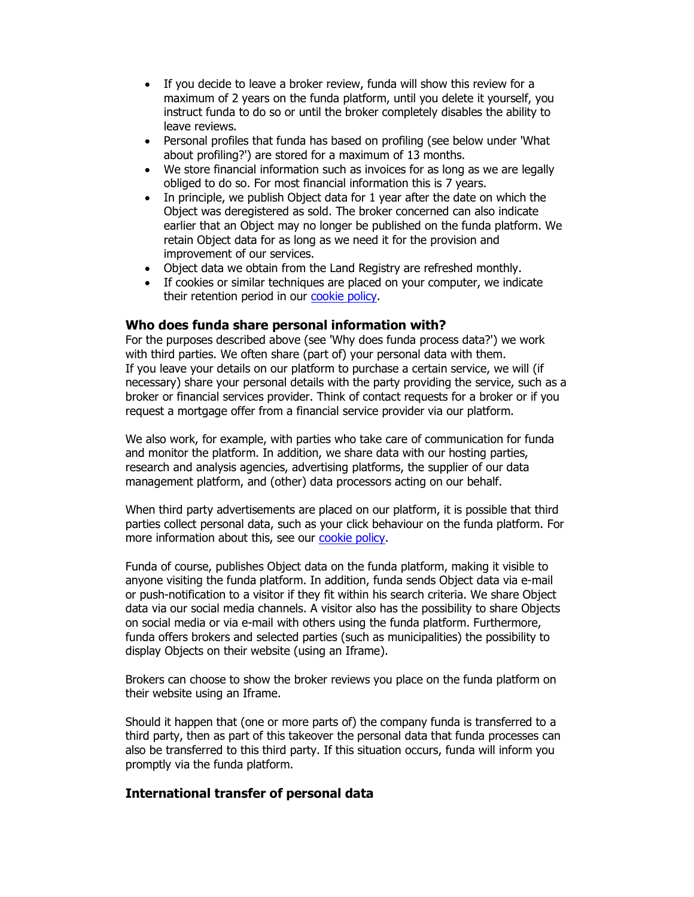- If you decide to leave a broker review, funda will show this review for a maximum of 2 years on the funda platform, until you delete it yourself, you instruct funda to do so or until the broker completely disables the ability to leave reviews.
- Personal profiles that funda has based on profiling (see below under 'What about profiling?') are stored for a maximum of 13 months.
- We store financial information such as invoices for as long as we are legally obliged to do so. For most financial information this is 7 years.
- In principle, we publish Object data for 1 year after the date on which the Object was deregistered as sold. The broker concerned can also indicate earlier that an Object may no longer be published on the funda platform. We retain Object data for as long as we need it for the provision and improvement of our services.
- Object data we obtain from the Land Registry are refreshed monthly.
- If cookies or similar techniques are placed on your computer, we indicate their retention period in our cookie policy.

### Who does funda share personal information with?

For the purposes described above (see 'Why does funda process data?') we work with third parties. We often share (part of) your personal data with them. If you leave your details on our platform to purchase a certain service, we will (if necessary) share your personal details with the party providing the service, such as a broker or financial services provider. Think of contact requests for a broker or if you request a mortgage offer from a financial service provider via our platform.

We also work, for example, with parties who take care of communication for funda and monitor the platform. In addition, we share data with our hosting parties, research and analysis agencies, advertising platforms, the supplier of our data management platform, and (other) data processors acting on our behalf.

When third party advertisements are placed on our platform, it is possible that third parties collect personal data, such as your click behaviour on the funda platform. For more information about this, see our cookie policy.

Funda of course, publishes Object data on the funda platform, making it visible to anyone visiting the funda platform. In addition, funda sends Object data via e-mail or push-notification to a visitor if they fit within his search criteria. We share Object data via our social media channels. A visitor also has the possibility to share Objects on social media or via e-mail with others using the funda platform. Furthermore, funda offers brokers and selected parties (such as municipalities) the possibility to display Objects on their website (using an Iframe).

Brokers can choose to show the broker reviews you place on the funda platform on their website using an Iframe.

Should it happen that (one or more parts of) the company funda is transferred to a third party, then as part of this takeover the personal data that funda processes can also be transferred to this third party. If this situation occurs, funda will inform you promptly via the funda platform.

### International transfer of personal data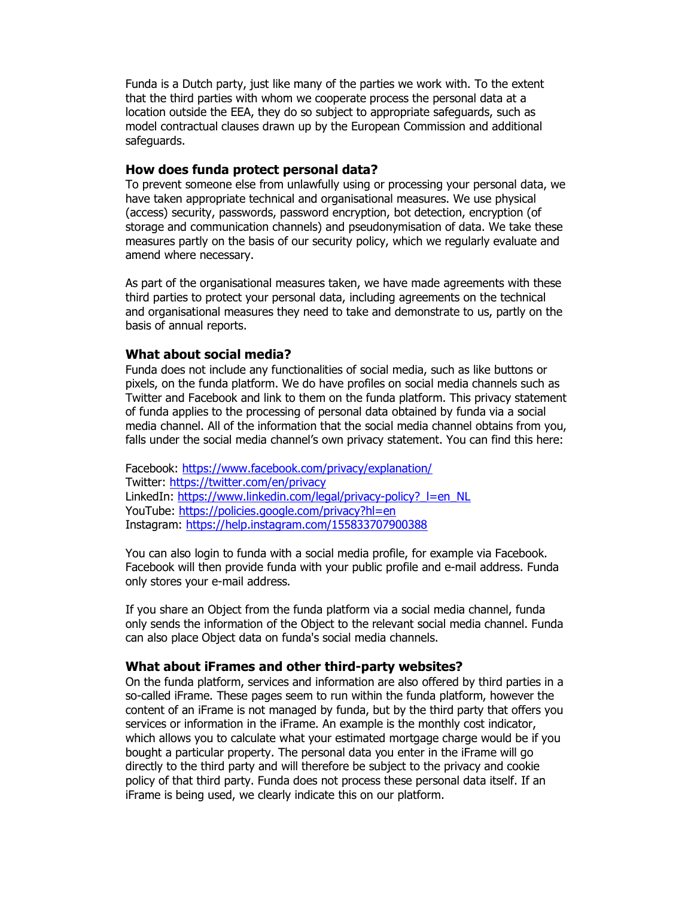Funda is a Dutch party, just like many of the parties we work with. To the extent that the third parties with whom we cooperate process the personal data at a location outside the EEA, they do so subject to appropriate safeguards, such as model contractual clauses drawn up by the European Commission and additional safeguards.

### How does funda protect personal data?

To prevent someone else from unlawfully using or processing your personal data, we have taken appropriate technical and organisational measures. We use physical (access) security, passwords, password encryption, bot detection, encryption (of storage and communication channels) and pseudonymisation of data. We take these measures partly on the basis of our security policy, which we regularly evaluate and amend where necessary.

As part of the organisational measures taken, we have made agreements with these third parties to protect your personal data, including agreements on the technical and organisational measures they need to take and demonstrate to us, partly on the basis of annual reports.

#### What about social media?

Funda does not include any functionalities of social media, such as like buttons or pixels, on the funda platform. We do have profiles on social media channels such as Twitter and Facebook and link to them on the funda platform. This privacy statement of funda applies to the processing of personal data obtained by funda via a social media channel. All of the information that the social media channel obtains from you, falls under the social media channel's own privacy statement. You can find this here:

Facebook: https://www.facebook.com/privacy/explanation/ Twitter: https://twitter.com/en/privacy LinkedIn: https://www.linkedin.com/legal/privacy-policy? l=en\_NL YouTube: https://policies.google.com/privacy?hl=en Instagram: https://help.instagram.com/155833707900388

You can also login to funda with a social media profile, for example via Facebook. Facebook will then provide funda with your public profile and e-mail address. Funda only stores your e-mail address.

If you share an Object from the funda platform via a social media channel, funda only sends the information of the Object to the relevant social media channel. Funda can also place Object data on funda's social media channels.

#### What about iFrames and other third-party websites?

On the funda platform, services and information are also offered by third parties in a so-called iFrame. These pages seem to run within the funda platform, however the content of an iFrame is not managed by funda, but by the third party that offers you services or information in the iFrame. An example is the monthly cost indicator, which allows you to calculate what your estimated mortgage charge would be if you bought a particular property. The personal data you enter in the iFrame will go directly to the third party and will therefore be subject to the privacy and cookie policy of that third party. Funda does not process these personal data itself. If an iFrame is being used, we clearly indicate this on our platform.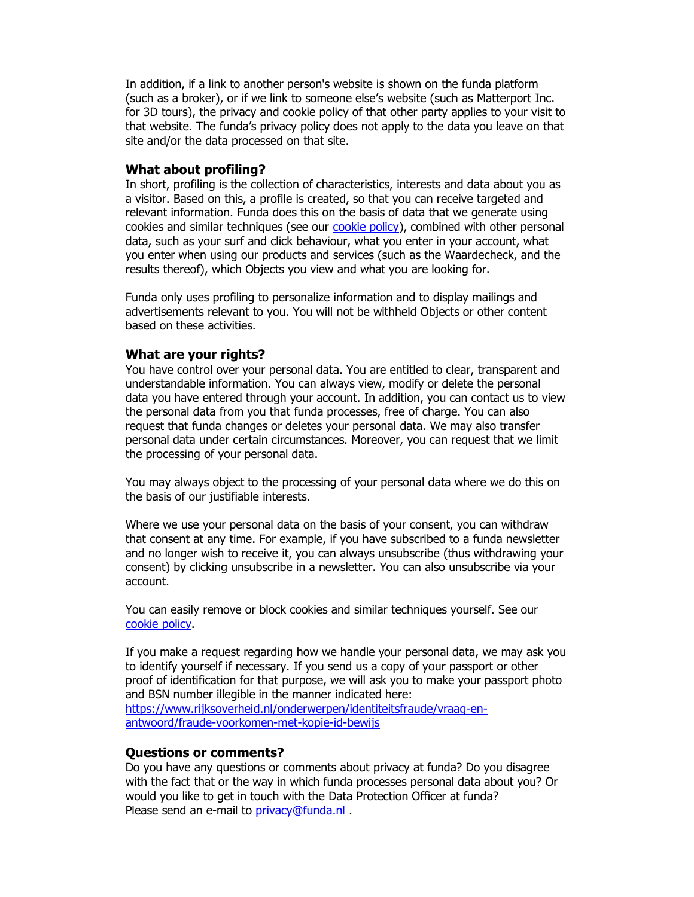In addition, if a link to another person's website is shown on the funda platform (such as a broker), or if we link to someone else's website (such as Matterport Inc. for 3D tours), the privacy and cookie policy of that other party applies to your visit to that website. The funda's privacy policy does not apply to the data you leave on that site and/or the data processed on that site.

#### What about profiling?

In short, profiling is the collection of characteristics, interests and data about you as a visitor. Based on this, a profile is created, so that you can receive targeted and relevant information. Funda does this on the basis of data that we generate using cookies and similar techniques (see our cookie policy), combined with other personal data, such as your surf and click behaviour, what you enter in your account, what you enter when using our products and services (such as the Waardecheck, and the results thereof), which Objects you view and what you are looking for.

Funda only uses profiling to personalize information and to display mailings and advertisements relevant to you. You will not be withheld Objects or other content based on these activities.

### What are your rights?

You have control over your personal data. You are entitled to clear, transparent and understandable information. You can always view, modify or delete the personal data you have entered through your account. In addition, you can contact us to view the personal data from you that funda processes, free of charge. You can also request that funda changes or deletes your personal data. We may also transfer personal data under certain circumstances. Moreover, you can request that we limit the processing of your personal data.

You may always object to the processing of your personal data where we do this on the basis of our justifiable interests.

Where we use your personal data on the basis of your consent, you can withdraw that consent at any time. For example, if you have subscribed to a funda newsletter and no longer wish to receive it, you can always unsubscribe (thus withdrawing your consent) by clicking unsubscribe in a newsletter. You can also unsubscribe via your account.

You can easily remove or block cookies and similar techniques yourself. See our cookie policy.

If you make a request regarding how we handle your personal data, we may ask you to identify yourself if necessary. If you send us a copy of your passport or other proof of identification for that purpose, we will ask you to make your passport photo and BSN number illegible in the manner indicated here: https://www.rijksoverheid.nl/onderwerpen/identiteitsfraude/vraag-enantwoord/fraude-voorkomen-met-kopie-id-bewijs

### Questions or comments?

Do you have any questions or comments about privacy at funda? Do you disagree with the fact that or the way in which funda processes personal data about you? Or would you like to get in touch with the Data Protection Officer at funda? Please send an e-mail to privacy@funda.nl.